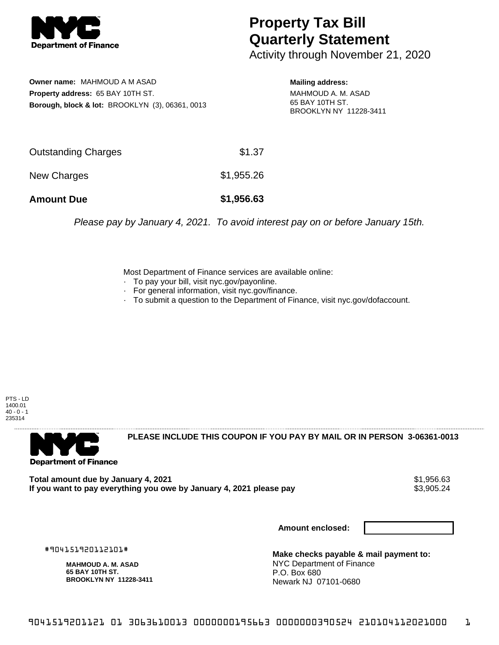

## **Property Tax Bill Quarterly Statement**

Activity through November 21, 2020

**Owner name:** MAHMOUD A M ASAD **Property address:** 65 BAY 10TH ST. **Borough, block & lot:** BROOKLYN (3), 06361, 0013

**Mailing address:** MAHMOUD A. M. ASAD 65 BAY 10TH ST. BROOKLYN NY 11228-3411

| <b>Amount Due</b>   | \$1,956.63 |
|---------------------|------------|
| New Charges         | \$1,955.26 |
| Outstanding Charges | \$1.37     |

Please pay by January 4, 2021. To avoid interest pay on or before January 15th.

Most Department of Finance services are available online:

- · To pay your bill, visit nyc.gov/payonline.
- For general information, visit nyc.gov/finance.
- · To submit a question to the Department of Finance, visit nyc.gov/dofaccount.

PTS - LD 1400.01  $40 - 0 - 1$ 235314



**PLEASE INCLUDE THIS COUPON IF YOU PAY BY MAIL OR IN PERSON 3-06361-0013** 

**Total amount due by January 4, 2021**<br>If you want to pay everything you owe by January 4, 2021 please pay **show that the summer way of the s**3,905.24 If you want to pay everything you owe by January 4, 2021 please pay

**Amount enclosed:**

#904151920112101#

**MAHMOUD A. M. ASAD 65 BAY 10TH ST. BROOKLYN NY 11228-3411**

**Make checks payable & mail payment to:** NYC Department of Finance P.O. Box 680 Newark NJ 07101-0680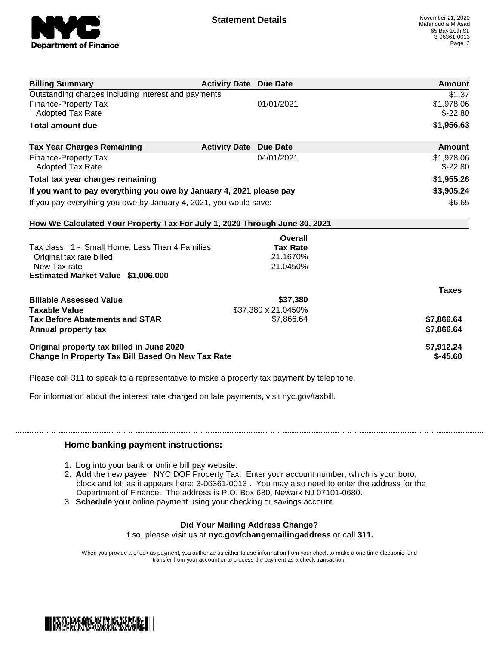

| <b>Billing Summary</b>                                                     | <b>Activity Date Due Date</b>           | Amount       |
|----------------------------------------------------------------------------|-----------------------------------------|--------------|
| Outstanding charges including interest and payments                        |                                         | \$1.37       |
| Finance-Property Tax                                                       | 01/01/2021                              | \$1,978.06   |
| Adopted Tax Rate                                                           |                                         | $$-22.80$    |
| <b>Total amount due</b>                                                    |                                         | \$1,956.63   |
| <b>Tax Year Charges Remaining</b>                                          | <b>Activity Date</b><br><b>Due Date</b> | Amount       |
| Finance-Property Tax                                                       | 04/01/2021                              | \$1,978.06   |
| <b>Adopted Tax Rate</b>                                                    |                                         | $$-22.80$    |
| Total tax year charges remaining                                           |                                         | \$1,955.26   |
| If you want to pay everything you owe by January 4, 2021 please pay        |                                         | \$3,905.24   |
| If you pay everything you owe by January 4, 2021, you would save:          |                                         | \$6.65       |
| How We Calculated Your Property Tax For July 1, 2020 Through June 30, 2021 |                                         |              |
|                                                                            | Overall                                 |              |
| Tax class 1 - Small Home, Less Than 4 Families                             | <b>Tax Rate</b>                         |              |
| Original tax rate billed                                                   | 21.1670%                                |              |
| New Tax rate                                                               | 21.0450%                                |              |
| Estimated Market Value \$1,006,000                                         |                                         |              |
|                                                                            |                                         | <b>Taxes</b> |
| <b>Billable Assessed Value</b>                                             | \$37,380                                |              |
| <b>Taxable Value</b>                                                       | \$37,380 x 21.0450%                     |              |
| <b>Tax Before Abatements and STAR</b>                                      | \$7,866.64                              | \$7,866.64   |
| Annual property tax                                                        |                                         | \$7,866.64   |
| Original property tax billed in June 2020                                  |                                         | \$7,912.24   |
| <b>Change In Property Tax Bill Based On New Tax Rate</b>                   |                                         | $$-45.60$    |

Please call 311 to speak to a representative to make a property tax payment by telephone.

For information about the interest rate charged on late payments, visit nyc.gov/taxbill.

## **Home banking payment instructions:**

- 1. **Log** into your bank or online bill pay website.
- 2. **Add** the new payee: NYC DOF Property Tax. Enter your account number, which is your boro, block and lot, as it appears here: 3-06361-0013 . You may also need to enter the address for the Department of Finance. The address is P.O. Box 680, Newark NJ 07101-0680.
- 3. **Schedule** your online payment using your checking or savings account.

## **Did Your Mailing Address Change?**

If so, please visit us at **nyc.gov/changemailingaddress** or call **311.**

When you provide a check as payment, you authorize us either to use information from your check to make a one-time electronic fund transfer from your account or to process the payment as a check transaction.